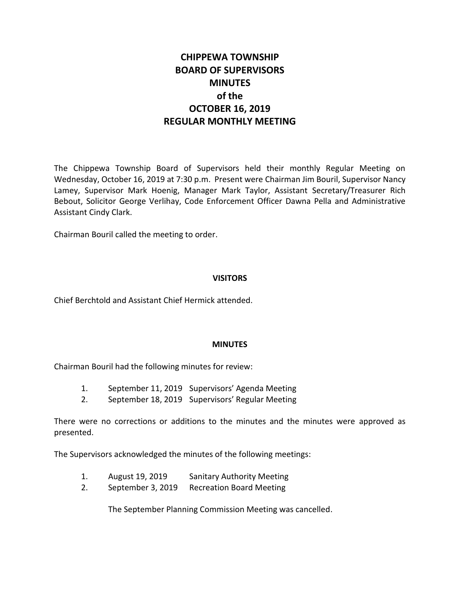# **CHIPPEWA TOWNSHIP BOARD OF SUPERVISORS MINUTES of the OCTOBER 16, 2019 REGULAR MONTHLY MEETING**

The Chippewa Township Board of Supervisors held their monthly Regular Meeting on Wednesday, October 16, 2019 at 7:30 p.m. Present were Chairman Jim Bouril, Supervisor Nancy Lamey, Supervisor Mark Hoenig, Manager Mark Taylor, Assistant Secretary/Treasurer Rich Bebout, Solicitor George Verlihay, Code Enforcement Officer Dawna Pella and Administrative Assistant Cindy Clark.

Chairman Bouril called the meeting to order.

#### **VISITORS**

Chief Berchtold and Assistant Chief Hermick attended.

#### **MINUTES**

Chairman Bouril had the following minutes for review:

- 1. September 11, 2019 Supervisors' Agenda Meeting
- 2. September 18, 2019 Supervisors' Regular Meeting

There were no corrections or additions to the minutes and the minutes were approved as presented.

The Supervisors acknowledged the minutes of the following meetings:

- 1. August 19, 2019 Sanitary Authority Meeting
- 2. September 3, 2019 Recreation Board Meeting

The September Planning Commission Meeting was cancelled.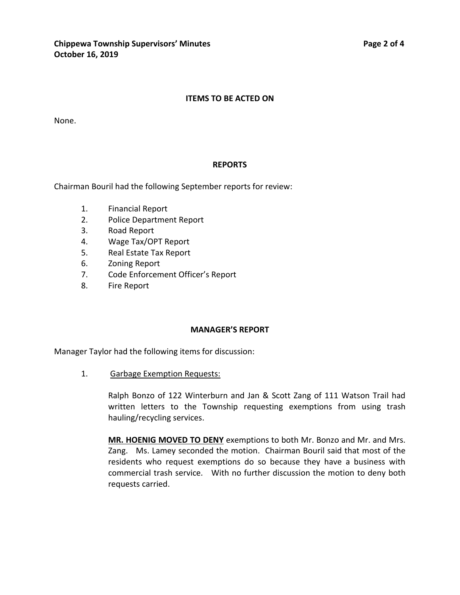#### **ITEMS TO BE ACTED ON**

None.

#### **REPORTS**

Chairman Bouril had the following September reports for review:

- 1. Financial Report
- 2. Police Department Report
- 3. Road Report
- 4. Wage Tax/OPT Report
- 5. Real Estate Tax Report
- 6. Zoning Report
- 7. Code Enforcement Officer's Report
- 8. Fire Report

#### **MANAGER'S REPORT**

Manager Taylor had the following items for discussion:

1. Garbage Exemption Requests:

Ralph Bonzo of 122 Winterburn and Jan & Scott Zang of 111 Watson Trail had written letters to the Township requesting exemptions from using trash hauling/recycling services.

**MR. HOENIG MOVED TO DENY** exemptions to both Mr. Bonzo and Mr. and Mrs. Zang. Ms. Lamey seconded the motion. Chairman Bouril said that most of the residents who request exemptions do so because they have a business with commercial trash service. With no further discussion the motion to deny both requests carried.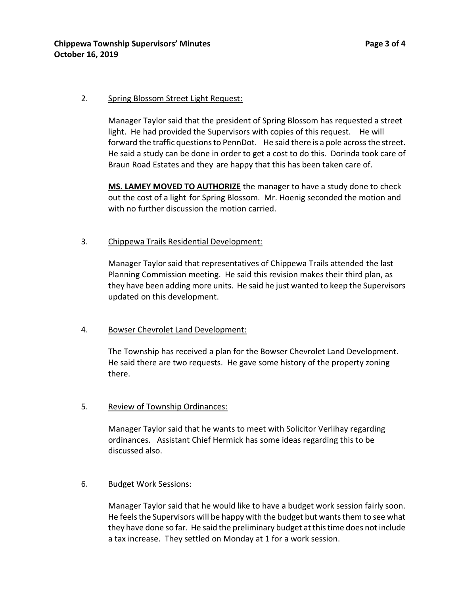## 2. Spring Blossom Street Light Request:

Manager Taylor said that the president of Spring Blossom has requested a street light. He had provided the Supervisors with copies of this request. He will forward the traffic questions to PennDot. He said there is a pole across the street. He said a study can be done in order to get a cost to do this. Dorinda took care of Braun Road Estates and they are happy that this has been taken care of.

**MS. LAMEY MOVED TO AUTHORIZE** the manager to have a study done to check out the cost of a light for Spring Blossom. Mr. Hoenig seconded the motion and with no further discussion the motion carried.

# 3. Chippewa Trails Residential Development:

Manager Taylor said that representatives of Chippewa Trails attended the last Planning Commission meeting. He said this revision makes their third plan, as they have been adding more units. He said he just wanted to keep the Supervisors updated on this development.

## 4. Bowser Chevrolet Land Development:

The Township has received a plan for the Bowser Chevrolet Land Development. He said there are two requests. He gave some history of the property zoning there.

# 5. Review of Township Ordinances:

Manager Taylor said that he wants to meet with Solicitor Verlihay regarding ordinances. Assistant Chief Hermick has some ideas regarding this to be discussed also.

## 6. Budget Work Sessions:

Manager Taylor said that he would like to have a budget work session fairly soon. He feels the Supervisors will be happy with the budget but wants them to see what they have done so far. He said the preliminary budget at this time does not include a tax increase. They settled on Monday at 1 for a work session.